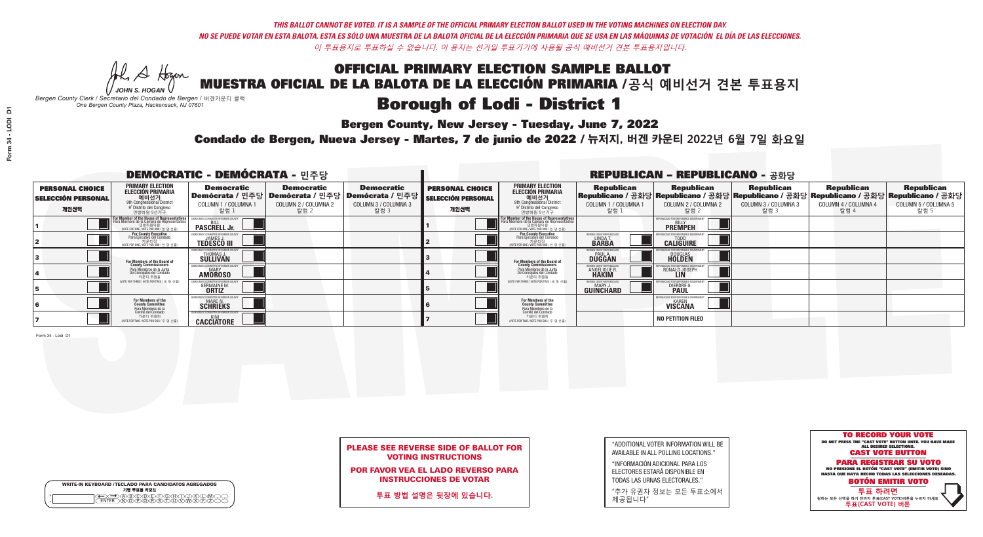**Bergen County, New Jersey - Tuesday, June 7, 2022** 

He A Hogen *JOHN S. HOGAN*

|         | <b>WRITE-IN KEYBOARD /TECLADO PARA CANDIDATOS AGREGADOS</b><br>기명 투표용 키보드 |
|---------|---------------------------------------------------------------------------|
| $\circ$ | )®©®©®®®<br>}@®®®®©™                                                      |

*Bergen County Clerk / Secretario del Condado de Bergen /* 버겐카운티 클럭 *One Bergen County Plaza, Hackensack, NJ 07601*

Condado de Bergen, Nueva Jersey - Martes, 7 de junio de 2022 / 뉴저지, 버겐 카운티 2022년 6월 7일 화요일 *One Bergen County Plaza, Hackensack, NJ 07601*



PLEASE SEE REVERSE SIDE OF BALLOT FOR VOTING INSTRUCTIONS

POR FAVOR VEA EL LADO REVERSO PARA INSTRUCCIONES DE VOTAR

**투표 방법 설명은 뒷장에 있습니다.**

| "ADDITIONAL VOTER INFORMATION WILL BE |
|---------------------------------------|
| AVAILABLE IN ALL POLLING LOCATIONS."  |
|                                       |

"INFORMACIÓN ADICIONAL PARA LOS ELECTORES ESTARÁ DISPONIBLE EN TODAS LAS URNAS ELECTORALES."

"추가 유권자 정보는 모든 투표소에서 제공됩니다"

|                                                             |                                                                                                                                                   | <b>DEMOCRATIC - DEMÓCRATA - 민주당</b>                         |                                                   |                                                                                                      |                                                             |                                                                                                                                                      |                                                             | <b>REPUBLICAN - REPUBLICANO - 공화당</b>                                                                                                           |                                                   |                                                   |                                                   |
|-------------------------------------------------------------|---------------------------------------------------------------------------------------------------------------------------------------------------|-------------------------------------------------------------|---------------------------------------------------|------------------------------------------------------------------------------------------------------|-------------------------------------------------------------|------------------------------------------------------------------------------------------------------------------------------------------------------|-------------------------------------------------------------|-------------------------------------------------------------------------------------------------------------------------------------------------|---------------------------------------------------|---------------------------------------------------|---------------------------------------------------|
| <b>PERSONAL CHOICE</b><br><b>SELECCIÓN PERSONAL</b><br>개인선택 | PRIMARY ELECTION<br><b>ELECCIÓN PRIMARIA</b><br>애비선거<br><sup>9th</sup> Congressional District<br><sup>9°</sup> Distrito del Congreso<br>연방하원 9선거구 | <b>Democratic</b><br>COLUMN 1 / COLUMNA 1<br>_ 칼럼 1         | <b>Democratic</b><br>COLUMN 2 / COLUMNA 2<br>칼럼 2 | <b>Democratic</b><br>Demócrata / 민주당 Demócrata / 민주당 Demócrata / 민주당<br>COLUMN 3 / COLUMNA 3<br>칼럼 3 | <b>PERSONAL CHOICE</b><br><b>SELECCIÓN PERSONAL</b><br>개인선택 | <b>PRIMARY ELECTION</b><br>ELECCIÓN PRIMARIA<br>예비선거<br><sup>9th</sup> Congressional District<br><sup>9'</sup> Distrito del Congreso<br>연방하원 9선거구    | <b>Republican</b><br>COLUMN 1 / COLUMNA 1<br>, 칼럼 :         | <b>Republican</b><br>Republicano / 공화당 Republicano / 공화당 Republicano / 공화당 Republicano / 공화당 Republicano / 공화당<br>COLUMN 2 / COLUMNA 2<br>-칼럼 2 | <b>Republican</b><br>COLUMN 3 / COLUMNA 3<br>칼럼 3 | <b>Republican</b><br>COLUMN 4 / COLUMNA 4<br>칼럼 4 | <b>Republican</b><br>COLUMN 5 / COLUMNA 5<br>칼럼 5 |
|                                                             | For Member of the House of Representative:<br>Para Miembro de la Cámara de Representantes                                                         | <b>PASCRELL Jr.</b>                                         |                                                   |                                                                                                      |                                                             | <b>For Member of the House of Representatives</b><br>Para Miembro de la Cámara de Representantes<br>연방하원의원<br>(VOTE FOR ONE / VOTE POR UNO / 한 명 선출) |                                                             | <b>PREMPEH</b>                                                                                                                                  |                                                   |                                                   |                                                   |
|                                                             | <b>For County Executive</b><br>Para Ejecutivo del Condado<br>VOTE FOR ONE / VOTE POR UNO / 한 명 선출)                                                | <b>TEDESCO III</b>                                          |                                                   |                                                                                                      |                                                             | For County Executive<br>Para Ejecutivo del Condado<br>NOTE FOR ONE / VOTE POR UNO / 한 명 선출)                                                          | ERGEN COUNTY REPUBLICA<br>LINDA T.                          | <b>CALIGUIRE</b>                                                                                                                                |                                                   |                                                   |                                                   |
|                                                             | For Members of the Board of<br>County Commissioners                                                                                               | EMOCRATIC COMMITTEE OF BERGEN C<br>THOMAS J.<br>SULLIVAN    |                                                   |                                                                                                      |                                                             | For Members of the Board of<br>County Commissioners                                                                                                  | BERGEN COUNTY REPUBLICAN<br><b>PAUL A.</b><br><b>DUGGAN</b> | <b>DOUGLAS</b>                                                                                                                                  |                                                   |                                                   |                                                   |
|                                                             | Para Miembros de la Junta<br>De Concejales del Condado<br>카운티 위원들                                                                                 | <b>IOCRATIC COMMITTEE OF BERGEN COUNT</b><br><b>AMOROSO</b> |                                                   |                                                                                                      |                                                             | Para Miembros de la Junta<br>De Concejales del Condado<br>카운티 위원들                                                                                    | ERGEN COUNTY REPUBLICAN<br><b>ANGELIQUE R</b>               | RONALD JOSEPH<br><b>LIN</b>                                                                                                                     |                                                   |                                                   |                                                   |
|                                                             | NOTE FOR THREE / VOTE POR TRES / 세 명 선출)                                                                                                          | <b>GERMAINE M.</b>                                          |                                                   |                                                                                                      |                                                             | (VOTE FOR THREE / VOTE POR TRES / 세 명 선출)                                                                                                            | BERGEN COUNTY REPUBLICAN<br>MARY J<br>GUINCHARD             | <b>DIERDRE</b>                                                                                                                                  |                                                   |                                                   |                                                   |
|                                                             | For Members of the<br>County Committee<br>Para Miembros de la<br>Comité del Condado                                                               | MOCRATIC COMMITTEE OF BERGEN CO<br><b>SCHRIEKS</b>          |                                                   |                                                                                                      |                                                             | For Members of the<br>County Committee                                                                                                               |                                                             | JBI ICANS FOR RESPONSIBLE GOV<br><b>VISCANA</b>                                                                                                 |                                                   |                                                   |                                                   |
|                                                             | 카운티 위원회<br>NOTE FOR TWO / VOTE POR DOS / 두 명 선출)                                                                                                  | CACCIATORE                                                  |                                                   |                                                                                                      |                                                             | Para Miembros de la<br>Comité del Condado<br>카운티 위원회<br>NOTE FOR TWO / VOTE POR DOS / 두 명 선출)                                                        |                                                             | <b>NO PETITION FILED</b>                                                                                                                        |                                                   |                                                   |                                                   |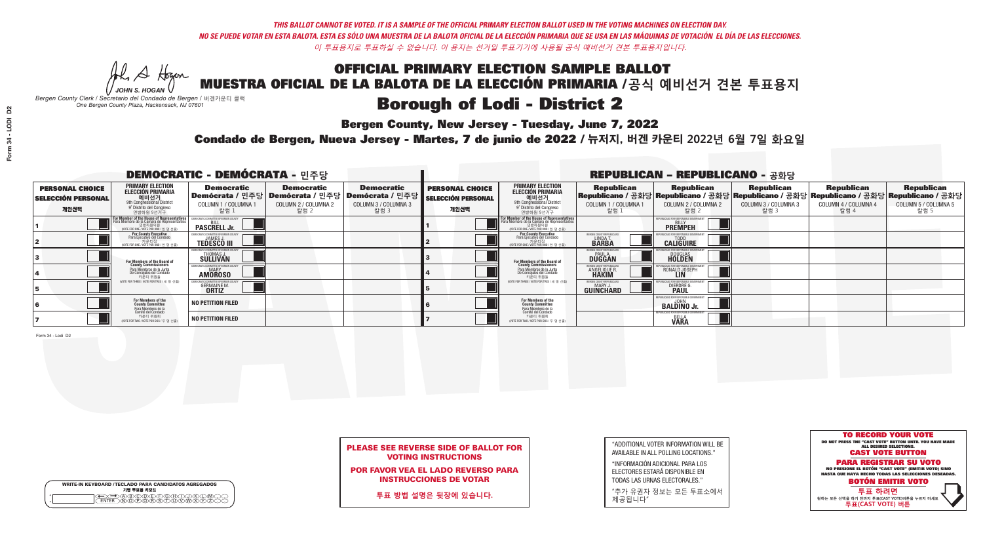**Bergen County, New Jersey - Tuesday, June 7, 2022** 

He A Hogen *JOHN S. HOGAN*

|         | <b>WRITE-IN KEYBOARD /TECLADO PARA CANDIDATOS AGREGADOS</b><br>기명 투표용 키보드 |
|---------|---------------------------------------------------------------------------|
| $\circ$ | <b>MEMEMARY</b>                                                           |

*Bergen County Clerk / Secretario del Condado de Bergen /* 버겐카운티 클럭 *One Bergen County Plaza, Hackensack, NJ 07601*

Condado de Bergen, Nueva Jersey - Martes, 7 de junio de 2022 / 뉴저지, 버겐 카운티 2022년 6월 7일 화요일 *One Bergen County Plaza, Hackensack, NJ 07601*



### PLEASE SEE REVERSE SIDE OF BALLOT FOR VOTING INSTRUCTIONS

POR FAVOR VEA EL LADO REVERSO PARA INSTRUCCIONES DE VOTAR

**투표 방법 설명은 뒷장에 있습니다.**

| "ADDITIONAL VOTER INFORMATION WILL BE |
|---------------------------------------|
| AVAILABLE IN ALL POLLING LOCATIONS."  |

"INFORMACIÓN ADICIONAL PARA LOS ELECTORES ESTARÁ DISPONIBLE EN TODAS LAS URNAS ELECTORALES."

"추가 유권자 정보는 모든 투표소에서 제공됩니다"

| <b>DEMOCRATIC - DEMÓCRATA - 민주당</b>                         |                                                                                                                                                   |                                                   |                                                   |                                                                                                      | <b>REPUBLICAN - REPUBLICANO - 공화당</b>                       |                                                                                                                                                             |                                                                 |                                                                                                                                                 |                                                   |                                                   |                                                   |
|-------------------------------------------------------------|---------------------------------------------------------------------------------------------------------------------------------------------------|---------------------------------------------------|---------------------------------------------------|------------------------------------------------------------------------------------------------------|-------------------------------------------------------------|-------------------------------------------------------------------------------------------------------------------------------------------------------------|-----------------------------------------------------------------|-------------------------------------------------------------------------------------------------------------------------------------------------|---------------------------------------------------|---------------------------------------------------|---------------------------------------------------|
| <b>PERSONAL CHOICE</b><br><b>SELECCIÓN PERSONAL</b><br>개인선택 | <b>PRIMARY ELECTION</b><br>ELECCIÓN PRIMARIA<br>에비선거<br><sup>9th</sup> Congressional District<br><sup>9'</sup> Distrito del Congreso<br>연방하원 9선거구 | <b>Democratic</b><br>COLUMN 1 / COLUMNA 1<br>칼럼 1 | <b>Democratic</b><br>COLUMN 2 / COLUMNA 2<br>칼럼 2 | <b>Democratic</b><br>Demócrata / 민주당 Demócrata / 민주당 Demócrata / 민주당<br>COLUMN 3 / COLUMNA 3<br>칼럼 3 | <b>PERSONAL CHOICE</b><br><b>SELECCIÓN PERSONAL</b><br>개인선택 | <b>PRIMARY ELECTION</b><br>ELECCIÓN PRIMARIA<br>예비선거<br><sup>9th</sup> Congressional District<br><sup>9'</sup> Distrito del Congreso<br>연방하원 9선거구           | <b>Republican</b><br>COLUMN 1 / COLUMNA 1<br>"칼럼 1              | <b>Republican</b><br>Republicano / 공화당 Republicano / 공화당 Republicano / 공화당 Republicano / 공화당 Republicano / 공화당<br>COLUMN 2 / COLUMNA 2<br>-칼럼 2 | <b>Republican</b><br>COLUMN 3 / COLUMNA 3<br>칼럼 3 | <b>Republican</b><br>COLUMN 4 / COLUMNA 4<br>칼럼 4 | <b>Republican</b><br>COLUMN 5 / COLUMNA 5<br>칼럼 5 |
|                                                             | For Member of the House of Representatives<br>Para Miembro de la Cámara de Representantes<br>연방하원의원<br>(VOTE FOR ONE / VOTE POR UNO / 한 명 선출)     | <b>PASCRELL Jr.</b>                               |                                                   |                                                                                                      |                                                             | F <mark>or Member of the House of Representatives</mark><br>Para Miembro de la Cámara de Representantes<br>연방하원의원<br>(VOTE FOR ONE / VOTE POR UNO / 한 명 선출) |                                                                 | <b>PREMPEH</b>                                                                                                                                  |                                                   |                                                   |                                                   |
|                                                             | For County Executive<br>Para Ejecutivo del Condado<br>/OTE FOR ONE / VOTE POR UNO / 한 명 선출)                                                       | <b>TEDESCO III</b>                                |                                                   |                                                                                                      |                                                             | For County Executive<br>Para Ejecutivo del Condado<br>7 카운티장<br>(VOTE FOR ONE / VOTE POR UNO / 한 명 선출)                                                      | BERGEN COUNTY REPUBLICA<br>LINDAT.                              | <b>CALIGUIRE</b>                                                                                                                                |                                                   |                                                   |                                                   |
|                                                             | For Members of the Board of<br>County Commissioners                                                                                               | <b>THOMAS J.</b><br><b>SULLIVAN</b>               |                                                   |                                                                                                      |                                                             | <b>For Members of the Board of County Commissioners</b>                                                                                                     | BERGEN COUNTY REPUBLICA<br><b>PAUL A.</b><br><b>DUGGAN</b>      | <b>DOUGLAS</b>                                                                                                                                  |                                                   |                                                   |                                                   |
|                                                             | Para Miembros de la Junta<br>De Concejales del Condado<br>카운티 위원들                                                                                 | OCRATIC COMMITTEE OF BEBGEN CO<br><b>AMOROSO</b>  |                                                   |                                                                                                      |                                                             | Para Miembros de la Junta<br>De Concejales del Condado<br>카운티 위원들                                                                                           | <b>'ERGEN COUNTY REPUBLICAN</b><br><b>ANGELIQUE R<br/>HAKIM</b> | RONALD JOSEPH                                                                                                                                   |                                                   |                                                   |                                                   |
|                                                             | NOTE FOR THREE / VOTE POR TRES / 세 명 선출)                                                                                                          | <b>GERMAINE M.</b><br><b>ORTIZ</b>                |                                                   |                                                                                                      |                                                             | (VOTE FOR THREE / VOTE POR TRES / 세 명 선출)                                                                                                                   | ERGEN COUNTY REPUBLICAN<br>MARY J<br>GUINCHARD                  | <b>DIERDRE</b>                                                                                                                                  |                                                   |                                                   |                                                   |
|                                                             | For Members of the<br>County Committee<br>Para Miembros de la<br>Comité del Condado                                                               | <b>NO PETITION FILED</b>                          |                                                   |                                                                                                      |                                                             | For Members of the<br>County Committee                                                                                                                      |                                                                 | UBLICANS FOR RESPONSIBLE GOVERN<br><b>BALDINO Jr.</b>                                                                                           |                                                   |                                                   |                                                   |
|                                                             | 카운티 위원회<br>NOTE FOR TWO / VOTE POR DOS / 두 명 선출)                                                                                                  | <b>NO PETITION FILED</b>                          |                                                   |                                                                                                      |                                                             | Para Miembros de la<br>Comité del Condado<br>카운티 위원회<br>NOTE FOR TWO / VOTE POR DOS / 두 명 선출)                                                               |                                                                 | PURLICANS FOR RESPONSIBLE GOVERNMEN<br><b>BELLA</b><br><b>VARA</b>                                                                              |                                                   |                                                   |                                                   |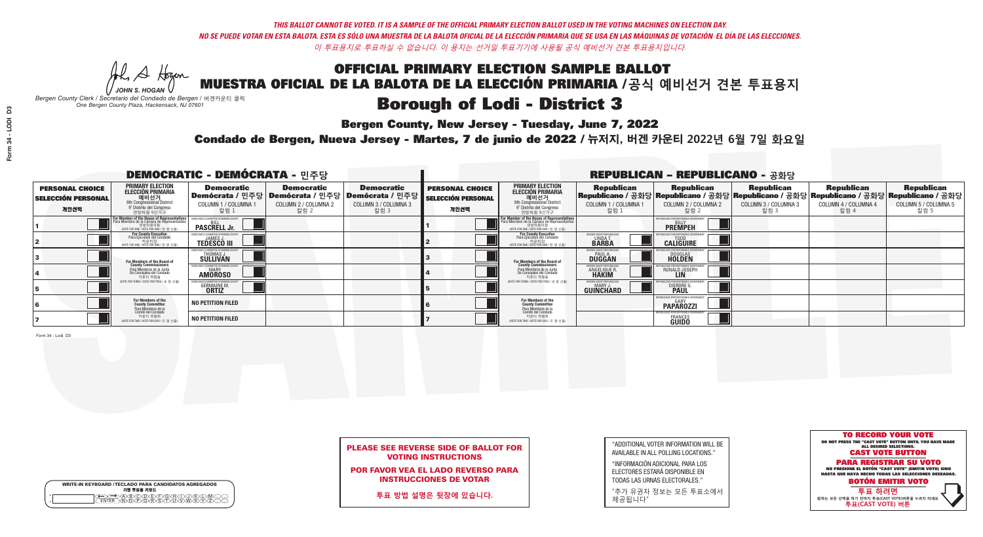He A Hogan

**Bergen County, New Jersey - Tuesday, June 7, 2022** 

| <b>WRITE-IN KEYBOARD /TECLADO PARA CANDIDATOS AGREGADOS</b><br>기명 투표용 키보드 |
|---------------------------------------------------------------------------|
| )BCDE/FG/H/T<br>፟፝፝፝፟፟፟፟፟፝፝፝፝ዀዀዀዀዀ                                        |

*JOHN S. HOGAN Bergen County Clerk / Secretario del Condado de Bergen /* 버겐카운티 클럭 *One Bergen County Plaza, Hackensack, NJ 07601*

Condado de Bergen, Nueva Jersey - Martes, 7 de junio de 2022 / 뉴저지, 버겐 카운티 2022년 6월 7일 화요일 *One Bergen County Plaza, Hackensack, NJ 07601*



### PLEASE SEE REVERSE SIDE OF BALLOT FOR VOTING INSTRUCTIONS

POR FAVOR VEA EL LADO REVERSO PARA INSTRUCCIONES DE VOTAR

**투표 방법 설명은 뒷장에 있습니다.**

| Bergen Cou |
|------------|
|            |

| "ADDITIONAL VOTER INFORMATION WILL BE |
|---------------------------------------|
| AVAILABLE IN ALL POLLING LOCATIONS."  |

"INFORMACIÓN ADICIONAL PARA LOS ELECTORES ESTARÁ DISPONIBLE EN TODAS LAS URNAS ELECTORALES."

"추가 유권자 정보는 모든 투표소에서 제공됩니다"

|                                                             |                                                                                                                                                   | <b>DEMOCRATIC - DEMÓCRATA - 민주당</b>                 |                                                   |                                                                                                      |                                                             |                                                                                                                                                             |                                                          | <b>REPUBLICAN - REPUBLICANO - 공화당</b>                                                                                                             |                                                   |                                                   |                                                   |
|-------------------------------------------------------------|---------------------------------------------------------------------------------------------------------------------------------------------------|-----------------------------------------------------|---------------------------------------------------|------------------------------------------------------------------------------------------------------|-------------------------------------------------------------|-------------------------------------------------------------------------------------------------------------------------------------------------------------|----------------------------------------------------------|---------------------------------------------------------------------------------------------------------------------------------------------------|---------------------------------------------------|---------------------------------------------------|---------------------------------------------------|
| <b>PERSONAL CHOICE</b><br><b>SELECCIÓN PERSONAL</b><br>개인선택 | <b>PRIMARY ELECTION</b><br>ELECCIÓN PRIMARIA<br>에비선거<br><sup>9th</sup> Congressional District<br><sup>9'</sup> Distrito del Congreso<br>연방하원 9선거구 | <b>Democratic</b><br>COLUMN 1 / COLUMNA<br>칼럼 1     | <b>Democratic</b><br>COLUMN 2 / COLUMNA 2<br>칼럼 2 | <b>Democratic</b><br>Demócrata / 민주당 Demócrata / 민주당 Demócrata / 민주당<br>COLUMN 3 / COLUMNA 3<br>칼럼 3 | <b>PERSONAL CHOICE</b><br><b>SELECCIÓN PERSONAL</b><br>개인선택 | <b>PRIMARY ELECTION</b><br>ELECCIÓN PRIMARIA<br>애비선거<br><sup>9th</sup> Congressional District<br>º Distrito del Congreso<br>연방하원 9선거구                       | <b>Republican</b><br>COLUMN 1 / COLUMNA 1<br>.칼럼 :       | <b>Republican</b><br>│Republicano / 공화당│Republicano / 공화당│Republicano / 공화당│Republicano / 공화당│Republicano / 공화당│<br>COLUMN 2 / COLUMNA 2<br>-칼럼 2 | <b>Republican</b><br>COLUMN 3 / COLUMNA 3<br>칼럼 3 | <b>Republican</b><br>COLUMN 4 / COLUMNA 4<br>칼럼 4 | <b>Republican</b><br>COLUMN 5 / COLUMNA 5<br>칼럼 5 |
|                                                             | For Member of the House of Representatives<br>Para Miembro de la Cámara de Representantes                                                         | <b>PASCRELL Jr.</b>                                 |                                                   |                                                                                                      |                                                             | F <mark>or Member of the House of Representatives</mark><br>Para Miembro de la Cámara de Representantes<br>연방하원의원<br>(VOTE FOR ONE / VOTE POR UNO / 한 명 선출) |                                                          | <b>PREMPEH</b>                                                                                                                                    |                                                   |                                                   |                                                   |
|                                                             | For County Executive<br>Para Ejecutivo del Condado<br>VOTE FOR ONE / VOTE POR UNO / 한 명 선출)                                                       | <b>TEDESCO III</b>                                  |                                                   |                                                                                                      |                                                             | <b>For County Executive</b><br>Para Ejecutivo del Condado<br>7 카운티장<br>(VOTE FOR ONE / VOTE POR UNO / 한 명 선출)                                               | BERGEN COUNTY REPUBLICA<br><b>LINDAT</b><br><b>BARBA</b> | <b>CALIGUIRE</b>                                                                                                                                  |                                                   |                                                   |                                                   |
|                                                             | For Members of the Board of<br>County Commissioners                                                                                               | MOCRATIC COMMITTEE OF BERGEN C<br>THOMAS J.         |                                                   |                                                                                                      |                                                             | For Members of the Board of<br>County Commissioners                                                                                                         | BERGEN COUNTY REPUBLICAN<br><b>DUGGAN</b>                | <b>DOUGLAS</b>                                                                                                                                    |                                                   |                                                   |                                                   |
|                                                             | Para Miembros de la Junta<br>De Concejales del Condado<br>카운티 위원들                                                                                 | MOCRATIC COMMITTEE OF BERGEN COUN<br><b>AMOROSO</b> |                                                   |                                                                                                      |                                                             | Para Miembros de la Junta<br>De Concejales del Condado<br>카운티 위원들                                                                                           | <b>REGEN COUNTY REPUBLICAN</b><br>ANGELIQUE R            | RONALD JOSEPH<br><b>LIN</b>                                                                                                                       |                                                   |                                                   |                                                   |
|                                                             | (VOTE FOR THREE / VOTE POR TRES / 세 명 선출)                                                                                                         | <b>GERMAINE M.</b>                                  |                                                   |                                                                                                      |                                                             | (VOTE FOR THREE / VOTE POR TRES / 세 명 선출)                                                                                                                   | ERGEN COUNTY REPUBLICAN<br>MARY J<br>GUINCHARD           | <b>DIERDRE</b>                                                                                                                                    |                                                   |                                                   |                                                   |
|                                                             | For Members of the<br>County Committee<br>Para Miembros de la<br>Comité del Condado                                                               | <b>NO PETITION FILED</b>                            |                                                   |                                                                                                      |                                                             | For Members of the<br>County Committee                                                                                                                      |                                                          | UBLICANS FOR RESPONSIBLE GOVERNMEN<br><b>GARY</b><br><b>PAPÄROZZI</b>                                                                             |                                                   |                                                   |                                                   |
|                                                             | 카운티 위원회<br>NOTE FOR TWO / VOTE POR DOS / 두 명 선출)                                                                                                  | <b>NO PETITION FILED</b>                            |                                                   |                                                                                                      |                                                             | Para Miembros de la<br>Comité del Condado<br>카운티 위원회<br>NOTE FOR TWO / VOTE POR DOS / 두 명 선출)                                                               |                                                          | <b>FRANCES</b>                                                                                                                                    |                                                   |                                                   |                                                   |

Form 34 - Lodi D3

**Form 34 - LODI D3**

Form 34 - LODI

 $D3$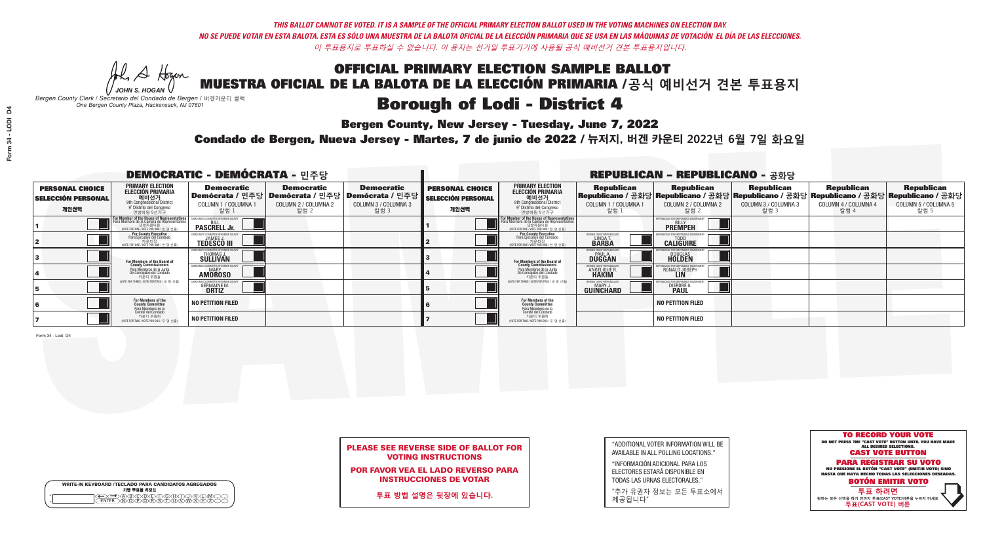He A Hogan

**Bergen County, New Jersey - Tuesday, June 7, 2022** 

*JOHN S. HOGAN Bergen County Clerk / Secretario del Condado de Bergen /* 버겐카운티 클럭 *One Bergen County Plaza, Hackensack, NJ 07601*

WRITE-IN KEYBOARD /TECLADO PARA CANDIDATOS AGREGADOS<br>기명 투표용 키보드

 $\bigoplus \bigoplus \mathbb{A} \oplus \mathbb{C} \oplus \mathbb{C} \oplus \mathbb{C} \oplus \mathbb{C} \oplus \mathbb{C} \cup \mathbb{W} \oplus \mathbb{Z} \oplus \mathbb{Z} \oplus \mathbb{C}$ 

Condado de Bergen, Nueva Jersey - Martes, 7 de junio de 2022 / 뉴저지, 버겐 카운티 2022년 6월 7일 화요일 *One Bergen County Plaza, Hackensack, NJ 07601*



### PLEASE SEE REVERSE SIDE OF BALLOT FOR VOTING INSTRUCTIONS

POR FAVOR VEA EL LADO REVERSO PARA INSTRUCCIONES DE VOTAR

**투표 방법 설명은 뒷장에 있습니다.**

|  | ergen County Clerk<br>One Be |
|--|------------------------------|

| "ADDITIONAL VOTER INFORMATION WILL BE |
|---------------------------------------|
| AVAILABLE IN ALL POLLING LOCATIONS."  |

"INFORMACIÓN ADICIONAL PARA LOS ELECTORES ESTARÁ DISPONIBLE EN TODAS LAS URNAS ELECTORALES."

"추가 유권자 정보는 모든 투표소에서 제공됩니다"

| <b>DEMOCRATIC - DEMÓCRATA - 민주당</b>                         |                                                                                                                                                   |                                                     |                                                   |                                                                                                        | <b>REPUBLICAN - REPUBLICANO - 공화당</b>                       |                                                                                                                     |                                                                              |                                                                                                                                         |                                                   |                                                   |                                                   |  |
|-------------------------------------------------------------|---------------------------------------------------------------------------------------------------------------------------------------------------|-----------------------------------------------------|---------------------------------------------------|--------------------------------------------------------------------------------------------------------|-------------------------------------------------------------|---------------------------------------------------------------------------------------------------------------------|------------------------------------------------------------------------------|-----------------------------------------------------------------------------------------------------------------------------------------|---------------------------------------------------|---------------------------------------------------|---------------------------------------------------|--|
| <b>PERSONAL CHOICE</b><br><b>SELECCIÓN PERSONAL</b><br>개인선택 | <b>PRIMARY ELECTION</b><br>ELECCIÓN PRIMARIA<br>에비선거<br><sup>9th</sup> Congressional District<br><sup>9'</sup> Distrito del Congreso<br>연방하원 9선거구 | <b>Democratic</b><br>COLUMN 1 / COLUMNA 1<br>_ 칼럼 1 | <b>Democratic</b><br>COLUMN 2 / COLUMNA 2<br>칼럼 2 | <b>Democratic</b><br>│Demócrata / 민주당│Demócrata / 민주당│Demócrata / 민주당┃<br>COLUMN 3 / COLUMNA 3<br>칼럼 3 | <b>PERSONAL CHOICE</b><br><b>SELECCIÓN PERSONAL</b><br>개인선택 | <b>PRIMARY ELECTION</b><br>ELECCIÓN PRIMARIA<br>9th Congressional District<br>9° Distrito del Congreso<br>연방하원 9선거구 | <b>Republican</b><br>COLUMN 1 / COLUMNA 1<br>- 칼럼 1                          | <b>Republican</b><br> Republicano/공화당 Republicano/공화당 Republicano/공화당 Republicano/공화당 Republicano/공화당 <br>COLUMN 2 / COLUMNA 2<br>-칼럼 2 | <b>Republican</b><br>COLUMN 3 / COLUMNA 3<br>칼럼 3 | <b>Republican</b><br>COLUMN 4 / COLUMNA 4<br>칼럼 4 | <b>Republican</b><br>COLUMN 5 / COLUMNA 5<br>칼럼 5 |  |
|                                                             | For Member of the House of Representatives<br>Para Miembro de la Cámara de Representantes<br>연방하원의원<br>(VOTE FOR ONE / VOTE POR UNO / 한 명 선출)     | <b>PASCRELL Jr.</b>                                 |                                                   |                                                                                                        |                                                             | F <mark>or Member of the House of Representatives</mark><br>Para Miembro de la Cámara de Representantes             |                                                                              | PUBLICANS FOR RESPONSIBLE GOVERNMI<br><b>BILLY</b><br><b>PREMPEH</b>                                                                    |                                                   |                                                   |                                                   |  |
|                                                             | For County Executive<br>Para Ejecutivo del Condado<br>/OTE FOR ONE / VOTE POR UNO / 하 명 선출)                                                       | <b>TEDESCO III</b>                                  |                                                   |                                                                                                        |                                                             | For County Executive<br>Para Ejecutivo del Condado<br>VOTE FOR ONE / VOTE POR UNO / 한 명 선출                          | ERGEN COUNTY REPUBLICA<br>LINDA T.                                           | <b>CALIGUIRE</b>                                                                                                                        |                                                   |                                                   |                                                   |  |
|                                                             | <b>For Members of the Board of<br/>County Commissioners</b>                                                                                       | THOMAS J.                                           |                                                   |                                                                                                        |                                                             | <b>For Members of the Board of<br/>County Commissioners</b>                                                         | BERGEN COUNTY REPUBLICAN<br>PAUL A.<br>DUGGAN                                | <b>DOUGLAS</b><br><b>HOLDEN</b>                                                                                                         |                                                   |                                                   |                                                   |  |
|                                                             | Para Miembros de la Junta<br>De Concejales del Condado<br>카우티 위원들                                                                                 | OCRATIC COMMITTEE OF BERGEN CO<br><b>AMOROSO</b>    |                                                   |                                                                                                        |                                                             | Para Miembros de la Junta<br>De Concejales del Condado<br>카운티 위원들<br>(VOTE FOR THREE / VOTE POR TRES / 세 명 선출)      | <b><i>RERGEN COUNTY REPUBLICAN</i></b><br><b>ANGELIQUE R</b><br><b>HAKIM</b> | RONALD JOSEPH<br><b>LIN</b>                                                                                                             |                                                   |                                                   |                                                   |  |
|                                                             | NOTE FOR THREE / VOTE POR TRES / 세 명 선출)                                                                                                          | <b>GERMAINE M.</b><br><b>ORTIZ</b>                  |                                                   |                                                                                                        |                                                             |                                                                                                                     | BERGEN COUNTY REPUBLICAN<br><b>MARY J</b><br>GUINCHARD                       | DIERDRE                                                                                                                                 |                                                   |                                                   |                                                   |  |
|                                                             | For Members of the<br>County Committee<br>Para Miembros de la<br>Comité del Condado                                                               | <b>NO PETITION FILED</b>                            |                                                   |                                                                                                        |                                                             | For Members of the<br>County Committee                                                                              |                                                                              | <b>NO PETITION FILED</b>                                                                                                                |                                                   |                                                   |                                                   |  |
|                                                             | 카운티 위원회<br>NOTE FOR TWO / VOTE POR DOS / 두 명 선출)                                                                                                  | <b>NO PETITION FILED</b>                            |                                                   |                                                                                                        |                                                             | Para Miembros de la<br>Comité del Condado<br>카운티 위원회<br>NOTE FOR TWO / VOTE POR DOS / 두 명 선출)                       |                                                                              | <b>NO PETITION FILED</b>                                                                                                                |                                                   |                                                   |                                                   |  |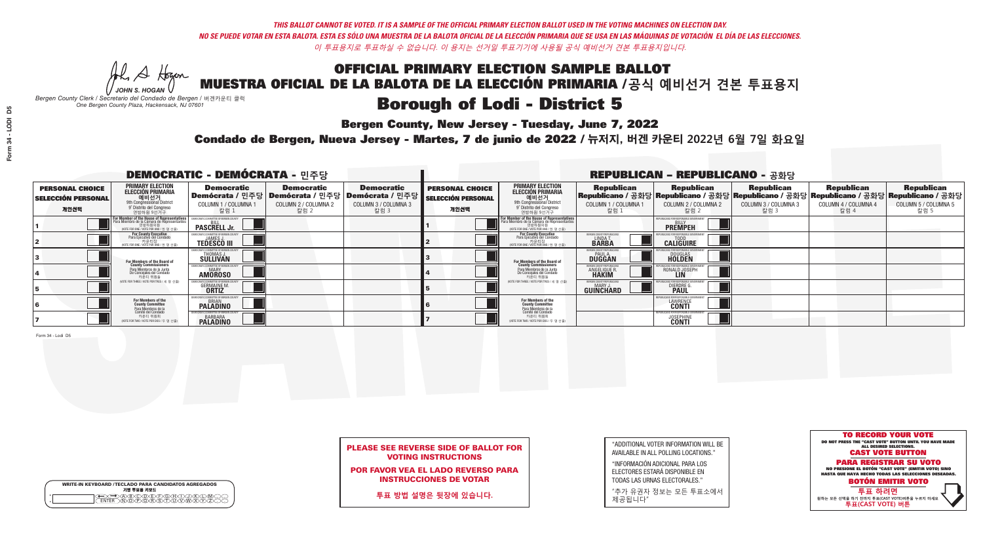**Bergen County, New Jersey - Tuesday, June 7, 2022** 

He A Hogan *JOHN S. HOGAN*

| <b>WRITE-IN KEYBOARD /TECLADO PARA CANDIDATOS AGREGADOS</b><br>기명 투표용 키보드 |
|---------------------------------------------------------------------------|
| )(B)C)(D)(E)(F)(G)(H)(<br><u>পটিটো বিভিন্ন উপে</u>                        |

*Bergen County Clerk / Secretario del Condado de Bergen /* 버겐카운티 클럭 *One Bergen County Plaza, Hackensack, NJ 07601*



PLEASE SEE REVERSE SIDE OF BALLOT FOR VOTING INSTRUCTIONS

POR FAVOR VEA EL LADO REVERSO PARA INSTRUCCIONES DE VOTAR

**투표 방법 설명은 뒷장에 있습니다.**

"ADDITIONAL VOTER INFORMATION WILL BE AVAILABLE IN ALL POLLING LOCATIONS."

"INFORMACIÓN ADICIONAL PARA LOS ELECTORES ESTARÁ DISPONIBLE EN TODAS LAS URNAS ELECTORALES."

"추가 유권자 정보는 모든 투표소에서 제공됩니다"

Condado de Bergen, Nueva Jersey - Martes, 7 de junio de 2022 / 뉴저지, 버겐 카운티 2022년 6월 7일 화요일 *One Bergen County Plaza, Hackensack, NJ 07601*

| <b>DEMOCRATIC - DEMÓCRATA - 민주당</b>                         |                                                                                                                                                   |                                                                        |                                                   |                                                                                                      | <b>REPUBLICAN - REPUBLICANO - 공화당</b>                       |                                                                                                                                                      |                                                             |                                                                                                                                                 |                                                   |                                                   |                                                   |  |
|-------------------------------------------------------------|---------------------------------------------------------------------------------------------------------------------------------------------------|------------------------------------------------------------------------|---------------------------------------------------|------------------------------------------------------------------------------------------------------|-------------------------------------------------------------|------------------------------------------------------------------------------------------------------------------------------------------------------|-------------------------------------------------------------|-------------------------------------------------------------------------------------------------------------------------------------------------|---------------------------------------------------|---------------------------------------------------|---------------------------------------------------|--|
| <b>PERSONAL CHOICE</b><br><b>SELECCIÓN PERSONAL</b><br>개인선택 | PRIMARY ELECTION<br><b>ELECCIÓN PRIMARIA</b><br>애비선거<br><sup>9th</sup> Congressional District<br><sup>9°</sup> Distrito del Congreso<br>연방하원 9선거구 | <b>Democratic</b><br><b>COLUMN 1 / COLUMNA 1</b><br>_ 칼럼 1             | <b>Democratic</b><br>COLUMN 2 / COLUMNA 2<br>칼럼 2 | <b>Democratic</b><br>Demócrata / 민주당 Demócrata / 민주당 Demócrata / 민주당<br>COLUMN 3 / COLUMNA 3<br>칼럼 3 | <b>PERSONAL CHOICE</b><br><b>SELECCIÓN PERSONAL</b><br>개인선택 | <b>PRIMARY ELECTION</b><br>ELECCIÓN PRIMARIA<br>예비선거<br><sup>9th</sup> Congressional District<br><sup>9'</sup> Distrito del Congreso<br>연방하원 9선거구    | <b>Republican</b><br>COLUMN 1 / COLUMNA 1<br>, 칼럼 :         | <b>Republican</b><br>Republicano / 공화당 Republicano / 공화당 Republicano / 공화당 Republicano / 공화당 Republicano / 공화당<br>COLUMN 2 / COLUMNA 2<br>-칼럼 2 | <b>Republican</b><br>COLUMN 3 / COLUMNA 3<br>칼럼 3 | <b>Republican</b><br>COLUMN 4 / COLUMNA 4<br>칼럼 4 | <b>Republican</b><br>COLUMN 5 / COLUMNA 5<br>칼럼 5 |  |
|                                                             | For Member of the House of Representative:<br>Para Miembro de la Cámara de Representantes                                                         | <b>PASCRELL Jr.</b>                                                    |                                                   |                                                                                                      |                                                             | <b>For Member of the House of Representatives</b><br>Para Miembro de la Cámara de Representantes<br>연방하원의원<br>(VOTE FOR ONE / VOTE POR UNO / 한 명 선출) |                                                             | <b>PREMPEH</b>                                                                                                                                  |                                                   |                                                   |                                                   |  |
|                                                             | For County Executive<br>Para Ejecutivo del Condado<br>VOTE FOR ONE / VOTE POR UNO / 한 명 선출)                                                       | <b>TEDESCO III</b>                                                     |                                                   |                                                                                                      |                                                             | For County Executive<br>Para Ejecutivo del Condado<br>WOTE FOR ONE / VOTE POR UNO / 한 명 선출)                                                          | BERGEN COUNTY REPUBLICA<br>LINDA T.                         | <b>CALIGUIRE</b>                                                                                                                                |                                                   |                                                   |                                                   |  |
|                                                             | For Members of the Board of<br>County Commissioners                                                                                               | VIOCRATIC COMMITTEE OF BERGEN (<br><b>THOMAS J.</b><br><b>SULLIVAN</b> |                                                   |                                                                                                      |                                                             | For Members of the Board of<br>County Commissioners                                                                                                  | BERGEN COUNTY REPUBLICAN<br><b>PAUL A.</b><br><b>DUGGAN</b> | <b>DOUGLAS</b><br><b>HOLDEN</b>                                                                                                                 |                                                   |                                                   |                                                   |  |
|                                                             | Para Miembros de la Junta<br>De Concejales del Condado<br>카운티 위원들                                                                                 | <b>MOCRATIC COMMITTEE OF BERGEN COUN</b><br><b>AMOROSO</b>             |                                                   |                                                                                                      |                                                             | Para Miembros de la Junta<br>De Concejales del Condado<br>카운티 위원들                                                                                    | ERGEN COUNTY REPUBLICAN<br><b>ANGELIQUE R</b>               | RONALD JOSEPH<br><b>LIN</b>                                                                                                                     |                                                   |                                                   |                                                   |  |
|                                                             | (VOTE FOR THREE / VOTE POR TRES / 세 명 선출)                                                                                                         | <b>GERMAINE M.</b>                                                     |                                                   |                                                                                                      |                                                             | (VOTE FOR THREE / VOTE POR TRES / 세 명 선출)                                                                                                            | BERGEN COUNTY REPUBLICAN<br>MARY J<br>GUINCHARD             | <b>DIERDRE</b>                                                                                                                                  |                                                   |                                                   |                                                   |  |
|                                                             | For Members of the<br>County Committee<br>Para Miembros de la                                                                                     | MOCRATIC COMMITTEE OF BERGEN CO<br><b>PALADINO</b>                     |                                                   |                                                                                                      |                                                             | For Members of the<br>County Committee                                                                                                               |                                                             | BLICANS FOR RESPONSIBLE G<br>LAWRENCE<br><b>CONTI</b>                                                                                           |                                                   |                                                   |                                                   |  |
|                                                             | comité del Condado<br>카운티 위원회<br>NOTE FOR TWO / VOTE POR DOS / 두 명 선출)                                                                            | <b>BARBARA</b><br><b>PALADINO</b>                                      |                                                   |                                                                                                      |                                                             | Para Miembros de la<br>Comité del Condado<br>카운티 위원회<br>NOTE FOR TWO / VOTE POR DOS / 두 명 선출)                                                        |                                                             | FPUBLICANS FOR RESPONSIBLE G<br><b>JOSEPHINE</b>                                                                                                |                                                   |                                                   |                                                   |  |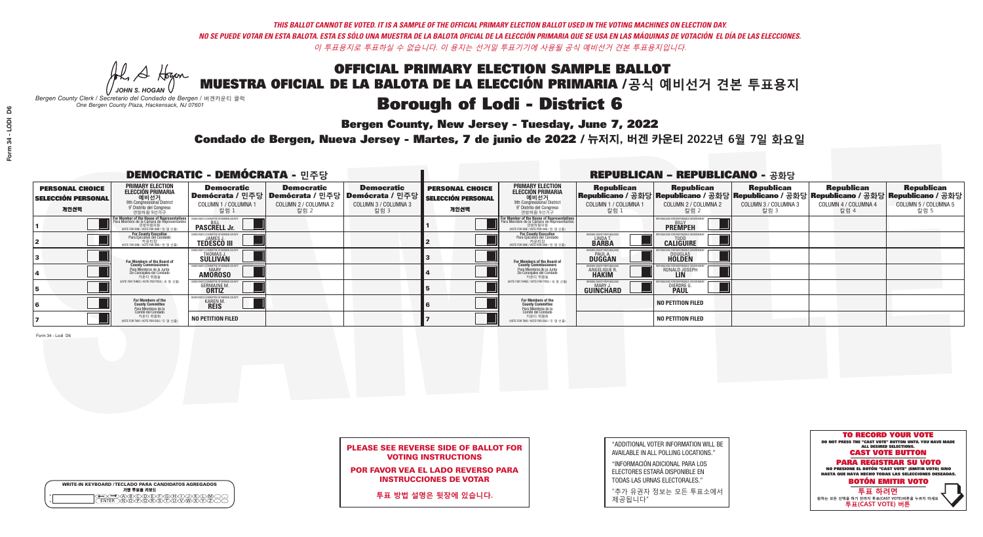**Bergen County, New Jersey - Tuesday, June 7, 2022** 

He A Hogan *JOHN S. HOGAN*

*Bergen County Clerk / Secretario del Condado de Bergen /* 버겐카운티 클럭 *One Bergen County Plaza, Hackensack, NJ 07601*

| <b>WRITE-IN KEYBOARD /TECLADO PARA CANDIDATOS AGREGADOS</b><br>기명 투표용 키보드 |
|---------------------------------------------------------------------------|
|                                                                           |

Condado de Bergen, Nueva Jersey - Martes, 7 de junio de 2022 / 뉴저지, 버겐 카운티 2022년 6월 7일 화요일 *One Bergen County Plaza, Hackensack, NJ 07601*



### PLEASE SEE REVERSE SIDE OF BALLOT FOR VOTING INSTRUCTIONS

POR FAVOR VEA EL LADO REVERSO PARA INSTRUCCIONES DE VOTAR

**투표 방법 설명은 뒷장에 있습니다.**

| "ADDITIONAL VOTER INFORMATION WILL BE |
|---------------------------------------|
| AVAILABLE IN ALL POLLING LOCATIONS."  |
|                                       |

"INFORMACIÓN ADICIONAL PARA LOS ELECTORES ESTARÁ DISPONIBLE EN TODAS LAS URNAS ELECTORALES."

"추가 유권자 정보는 모든 투표소에서 제공됩니다"

| <b>DEMOCRATIC - DEMÓCRATA - 민주당</b>                         |                                                                                                                                                   |                                                                 |                                                   |                                                                                                        | <b>REPUBLICAN - REPUBLICANO - 공화당</b>                       |                                                                                                                                                      |                                                               |                                                                                                                                                 |                                                   |                                                   |                                                   |  |
|-------------------------------------------------------------|---------------------------------------------------------------------------------------------------------------------------------------------------|-----------------------------------------------------------------|---------------------------------------------------|--------------------------------------------------------------------------------------------------------|-------------------------------------------------------------|------------------------------------------------------------------------------------------------------------------------------------------------------|---------------------------------------------------------------|-------------------------------------------------------------------------------------------------------------------------------------------------|---------------------------------------------------|---------------------------------------------------|---------------------------------------------------|--|
| <b>PERSONAL CHOICE</b><br><b>SELECCIÓN PERSONAL</b><br>개인선택 | PRIMARY ELECTION<br><b>ELECCIÓN PRIMARIA</b><br>애비선거<br><sup>9th</sup> Congressional District<br><sup>9°</sup> Distrito del Congreso<br>연방하원 9선거구 | <b>Democratic</b><br>COLUMN 1 / COLUMNA 1<br>_ 칼럼 1             | <b>Democratic</b><br>COLUMN 2 / COLUMNA 2<br>칼럼 2 | <b>Democratic</b><br>│Demócrata / 민주당│Demócrata / 민주당│Demócrata / 민주당│<br>COLUMN 3 / COLUMNA 3<br>칼럼 3 | <b>PERSONAL CHOICE</b><br><b>SELECCIÓN PERSONAL</b><br>개인선택 | <b>PRIMARY ELECTION</b><br>ELECCIÓN PRIMARIA<br>9th Congressional District<br>9° Distrito del Congreso<br>연방하원 9선거구                                  | <b>Republican</b><br>COLUMN 1 / COLUMNA 1<br>칼럼 1             | <b>Republican</b><br>Republicano / 공화당 Republicano / 공화당 Republicano / 공화당 Republicano / 공화당 Republicano / 공화당<br>COLUMN 2 / COLUMNA 2<br>-칼럼 2 | <b>Republican</b><br>COLUMN 3 / COLUMNA 3<br>칼럼 3 | <b>Republican</b><br>COLUMN 4 / COLUMNA 4<br>칼럼 4 | <b>Republican</b><br>COLUMN 5 / COLUMNA 5<br>칼럼 5 |  |
|                                                             | For Member of the House of Representative:<br>Para Miembro de la Cámara de Representantes<br>(VOTE FOR ONE / VOTE POR UNO / 한 명 선출)               | <b>PASCRELL Jr.</b>                                             |                                                   |                                                                                                        |                                                             | <b>For Member of the House of Representatives</b><br>Para Miembro de la Cámara de Representantes<br>연방하원의원<br>(VOTE FOR ONE / VOTE POR UNO / 한 명 선출) |                                                               | <b>PREMPEH</b>                                                                                                                                  |                                                   |                                                   |                                                   |  |
|                                                             | For County Executive<br>Para Ejecutivo del Condado<br>VOTE FOR ONE / VOTE POR UNO / 한 명 선출)                                                       | <b>TEDESCO III</b>                                              |                                                   |                                                                                                        |                                                             | <b>For County Executive</b><br>Para Ejecutivo del Condado<br>VOTE FOR ONE / VOTE POR UNO / 한 명 선출)                                                   | ERGEN COUNTY REPUBLICA<br>LINDA T.                            | <b>CALIGUIRE</b>                                                                                                                                |                                                   |                                                   |                                                   |  |
|                                                             | For Members of the Board of<br>County Commissioners                                                                                               | EMOCRATIC COMMITTEE OF BERGEN C<br>THOMAS J.<br>SULLIVAN        |                                                   |                                                                                                        |                                                             | <b>For Members of the Board of<br/>County Commissioners</b>                                                                                          | BERGEN COUNTY REPUBLICAN<br><b>DUGGAN</b>                     | <b>DOUGLAS</b><br><b>HOLDEN</b>                                                                                                                 |                                                   |                                                   |                                                   |  |
|                                                             | Para Miembros de la Junta<br>De Concejales del Condado<br>카운티 위원들                                                                                 | <b>IOCRATIC COMMITTEE OF BERGEN COUNT</b><br><b>AMOROSO</b>     |                                                   |                                                                                                        |                                                             | Para Miembros de la Junta<br>De Concejales del Condado<br>카운티 위원들                                                                                    | <b><i>RERGEN COUNTY REPUBLICANS</i></b><br><b>ANGELIQUE R</b> | RONALD JOSEPH<br><b>LIN</b>                                                                                                                     |                                                   |                                                   |                                                   |  |
|                                                             | NOTE FOR THREE / VOTE POR TRES / 세 명 선출)                                                                                                          | <b>GERMAINE M.</b>                                              |                                                   |                                                                                                        |                                                             | (VOTE FOR THREE / VOTE POR TRES / 세 명 선출)                                                                                                            | BERGEN COUNTY REPUBLICAN<br>MARY J<br>GUINCHARD               | <b>DIERDRE</b>                                                                                                                                  |                                                   |                                                   |                                                   |  |
|                                                             | For Members of the<br>County Committee<br>Para Miembros de la<br>Comité del Condado                                                               | MOCRATIC COMMITTEE OF BERGEN C<br><b>KAREN M</b><br><b>REIS</b> |                                                   |                                                                                                        |                                                             | For Members of the<br>County Committee                                                                                                               |                                                               | <b>NO PETITION FILED</b>                                                                                                                        |                                                   |                                                   |                                                   |  |
|                                                             | 카운티 위원회<br>NOTE FOR TWO / VOTE POR DOS / 두 명 선출)                                                                                                  | <b>NO PETITION FILED</b>                                        |                                                   |                                                                                                        |                                                             | Para Miembros de la<br>Comité del Condado<br>카운티 위원회<br>NOTE FOR TWO / VOTE POR DOS / 두 명 선출)                                                        |                                                               | <b>NO PETITION FILED</b>                                                                                                                        |                                                   |                                                   |                                                   |  |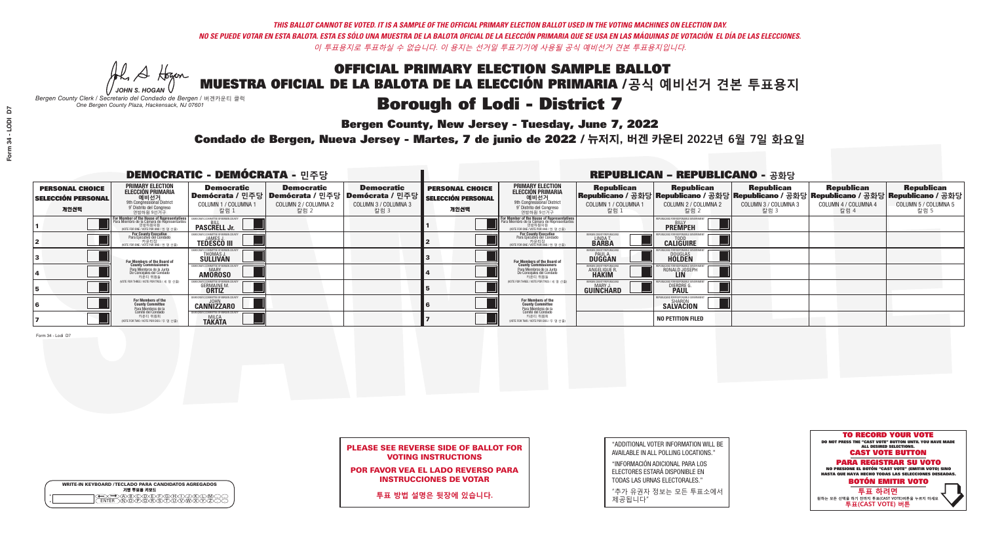**Bergen County, New Jersey - Tuesday, June 7, 2022** 

He A Hogen *JOHN S. HOGAN*

|         | <b>WRITE-IN KEYBOARD /TECLADO PARA CANDIDATOS AGREGADOS</b><br>기명 투표용 키보드 |
|---------|---------------------------------------------------------------------------|
| $\circ$ | ነለችለቅ                                                                     |

*Bergen County Clerk / Secretario del Condado de Bergen /* 버겐카운티 클럭 *One Bergen County Plaza, Hackensack, NJ 07601*

Condado de Bergen, Nueva Jersey - Martes, 7 de junio de 2022 / 뉴저지, 버겐 카운티 2022년 6월 7일 화요일 *One Bergen County Plaza, Hackensack, NJ 07601*



POR FAVOR VEA EL LADO REVERSO PARA INSTRUCCIONES DE VOTAR

**투표 방법 설명은 뒷장에 있습니다.**

| "ADDITIONAL VOTER INFORMATION WILL BE |
|---------------------------------------|
| AVAILABLE IN ALL POLLING LOCATIONS."  |
|                                       |

"INFORMACIÓN ADICIONAL PARA LOS ELECTORES ESTARÁ DISPONIBLE EN TODAS LAS URNAS ELECTORALES."

"추가 유권자 정보는 모든 투표소에서 제공됩니다"

| <b>DEMOCRATIC - DEMÓCRATA - 민주당</b>                         |                                                                                                                                                   |                                                            |                                                   |                                                                                                      | <b>REPUBLICAN - REPUBLICANO - 공화당</b>                       |                                                                                                                                                             |                                                    |                                                                                                                                                   |                                                   |                                                   |                                                   |
|-------------------------------------------------------------|---------------------------------------------------------------------------------------------------------------------------------------------------|------------------------------------------------------------|---------------------------------------------------|------------------------------------------------------------------------------------------------------|-------------------------------------------------------------|-------------------------------------------------------------------------------------------------------------------------------------------------------------|----------------------------------------------------|---------------------------------------------------------------------------------------------------------------------------------------------------|---------------------------------------------------|---------------------------------------------------|---------------------------------------------------|
| <b>PERSONAL CHOICE</b><br><b>SELECCIÓN PERSONAL</b><br>개인선택 | <b>PRIMARY ELECTION</b><br>ELECCIÓN PRIMARIA<br>에비선거<br><sup>9th</sup> Congressional District<br><sup>9'</sup> Distrito del Congreso<br>연방하원 9선거구 | <b>Democratic</b><br>COLUMN 1 / COLUMNA<br>칼럼 1            | <b>Democratic</b><br>COLUMN 2 / COLUMNA 2<br>칼럼 2 | <b>Democratic</b><br>Demócrata / 민주당 Demócrata / 민주당 Demócrata / 민주당<br>COLUMN 3 / COLUMNA 3<br>칼럼 3 | <b>PERSONAL CHOICE</b><br><b>SELECCIÓN PERSONAL</b><br>개인선택 | <b>PRIMARY ELECTION</b><br>ELECCIÓN PRIMARIA<br>애비선거<br><sup>9th</sup> Congressional District<br>º Distrito del Congreso<br>연방하원 9선거구                       | <b>Republican</b><br>COLUMN 1 / COLUMNA 1<br>.칼럼 : | <b>Republican</b><br>│Republicano / 공화당│Republicano / 공화당│Republicano / 공화당│Republicano / 공화당│Republicano / 공화당│<br>COLUMN 2 / COLUMNA 2<br>-칼럼 2 | <b>Republican</b><br>COLUMN 3 / COLUMNA 3<br>칼럼 3 | <b>Republican</b><br>COLUMN 4 / COLUMNA 4<br>칼럼 4 | <b>Republican</b><br>COLUMN 5 / COLUMNA 5<br>칼럼 5 |
|                                                             | For Member of the House of Representatives<br>Para Miembro de la Cámara de Representantes                                                         | <b>PASCRELL Jr.</b>                                        |                                                   |                                                                                                      |                                                             | F <mark>or Member of the House of Representatives</mark><br>Para Miembro de la Cámara de Representantes<br>연방하원의원<br>(VOTE FOR ONE / VOTE POR UNO / 한 명 선출) |                                                    | <b>PREMPEH</b>                                                                                                                                    |                                                   |                                                   |                                                   |
|                                                             | For County Executive<br>Para Ejecutivo del Condado<br>VOTE FOR ONE / VOTE POR UNO / 한 명 선출)                                                       | <b>TEDESCO III</b>                                         |                                                   |                                                                                                      |                                                             | <b>For County Executive</b><br>Para Ejecutivo del Condado<br>7 카운티장<br>(VOTE FOR ONE / VOTE POR UNO / 한 명 선출)                                               | BERGEN COUNTY REPUBLICA<br>LINDAT.                 | <b>CALIGUIRE</b>                                                                                                                                  |                                                   |                                                   |                                                   |
|                                                             | For Members of the Board of<br>County Commissioners                                                                                               | MOCRATIC COMMITTEE OF BERGEN C<br>THOMAS J.                |                                                   |                                                                                                      |                                                             | For Members of the Board of<br>County Commissioners                                                                                                         | BERGEN COUNTY REPUBLICAN<br><b>DUGGAN</b>          | <b>DOUGLAS</b>                                                                                                                                    |                                                   |                                                   |                                                   |
|                                                             | Para Miembros de la Junta<br>De Concejales del Condado<br>카운티 위원들                                                                                 | MOCRATIC COMMITTEE OF BERGEN COUN<br><b>AMOROSO</b>        |                                                   |                                                                                                      |                                                             | Para Miembros de la Junta<br>De Concejales del Condado<br>카운티 위원들                                                                                           | ERGEN COUNTY REPUBLICAN<br>ANGELIQUE R             | RONALD JOSEPH<br><b>LIN</b>                                                                                                                       |                                                   |                                                   |                                                   |
|                                                             | (VOTE FOR THREE / VOTE POR TRES / 세 명 선출)                                                                                                         | <b>GERMAINE M.</b>                                         |                                                   |                                                                                                      |                                                             | (VOTE FOR THREE / VOTE POR TRES / 세 명 선출)                                                                                                                   | ERGEN COUNTY REPUBLICAN<br>MARY J<br>GUINCHARD     | <b>DIERDRE</b>                                                                                                                                    |                                                   |                                                   |                                                   |
|                                                             | For Members of the<br>County Committee<br>Para Miembros de la                                                                                     | )EMOCRATIC COMMITTEE OF BERGEN COUNTY<br><b>CANNIZZARO</b> |                                                   |                                                                                                      |                                                             | For Members of the<br>County Committee                                                                                                                      |                                                    | UBLICANS FOR RESPONSIBLE GOVERNMEN<br>SAĽVÄČION                                                                                                   |                                                   |                                                   |                                                   |
|                                                             | Comité del Condado<br>카운티 위원회<br>NOTE FOR TWO / VOTE POR DOS / 두 명 선출)                                                                            | )FMOCRATIC COMMITTEE OF BERGEN COUNT<br><b>TAKATA</b>      |                                                   |                                                                                                      |                                                             | Para Miembros de la<br>Comité del Condado<br>카운티 위원회<br>NOTE FOR TWO / VOTE POR DOS / 두 명 선출)                                                               |                                                    | <b>NO PETITION FILED</b>                                                                                                                          |                                                   |                                                   |                                                   |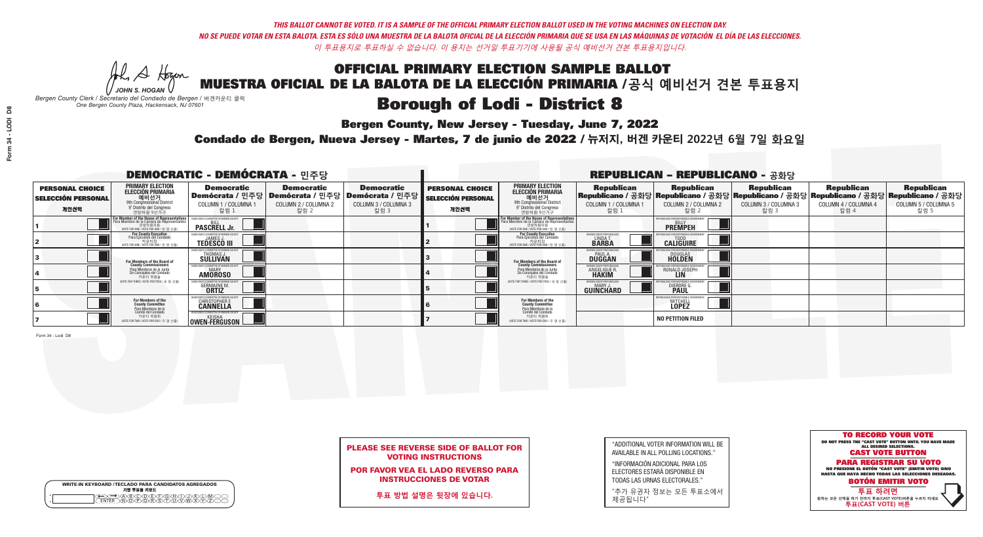**Bergen County, New Jersey - Tuesday, June 7, 2022** 

He A Hogen *JOHN S. HOGAN*

| <b>WRITE-IN KEYBOARD /TECLADO PARA CANDIDATOS AGREGADOS</b><br>기명 투표용 키보드 |
|---------------------------------------------------------------------------|
| ريو ري ري (س                                                              |

*Bergen County Clerk / Secretario del Condado de Bergen /* 버겐카운티 클럭 *One Bergen County Plaza, Hackensack, NJ 07601*

Condado de Bergen, Nueva Jersey - Martes, 7 de junio de 2022 / 뉴저지, 버겐 카운티 2022년 6월 7일 화요일 *One Bergen County Plaza, Hackensack, NJ 07601*



POR FAVOR VEA EL LADO REVERSO PARA INSTRUCCIONES DE VOTAR

**투표 방법 설명은 뒷장에 있습니다.**

| "ADDITIONAL VOTER INFORMATION WILL BE |
|---------------------------------------|
| AVAILABLE IN ALL POLLING LOCATIONS."  |
|                                       |

"INFORMACIÓN ADICIONAL PARA LOS ELECTORES ESTARÁ DISPONIBLE EN TODAS LAS URNAS ELECTORALES."

"추가 유권자 정보는 모든 투표소에서 제공됩니다"

| <b>DEMOCRATIC - DEMÓCRATA - 민주당</b>                         |                                                                                                                                                   |                                                             |                                                   |                                                                                                      | <b>REPUBLICAN - REPUBLICANO - 공화당</b>                       |                                                                                                                                                      |                                                             |                                                                                                                                                 |                                                   |                                                   |                                                   |  |
|-------------------------------------------------------------|---------------------------------------------------------------------------------------------------------------------------------------------------|-------------------------------------------------------------|---------------------------------------------------|------------------------------------------------------------------------------------------------------|-------------------------------------------------------------|------------------------------------------------------------------------------------------------------------------------------------------------------|-------------------------------------------------------------|-------------------------------------------------------------------------------------------------------------------------------------------------|---------------------------------------------------|---------------------------------------------------|---------------------------------------------------|--|
| <b>PERSONAL CHOICE</b><br><b>SELECCIÓN PERSONAL</b><br>개인선택 | PRIMARY ELECTION<br><b>ELECCIÓN PRIMARIA</b><br>애비선거<br><sup>9th</sup> Congressional District<br><sup>9°</sup> Distrito del Congreso<br>연방하원 9선거구 | <b>Democratic</b><br>COLUMN 1 / COLUMNA 1<br>_ 칼럼 1         | <b>Democratic</b><br>COLUMN 2 / COLUMNA 2<br>칼럼 2 | <b>Democratic</b><br>Demócrata / 민주당 Demócrata / 민주당 Demócrata / 민주당<br>COLUMN 3 / COLUMNA 3<br>칼럼 3 | <b>PERSONAL CHOICE</b><br><b>SELECCIÓN PERSONAL</b><br>개인선택 | <b>PRIMARY ELECTION</b><br>ELECCIÓN PRIMARIA<br>예비선거<br><sup>9th</sup> Congressional District<br><sup>9'</sup> Distrito del Congreso<br>연방하원 9선거구    | <b>Republican</b><br>COLUMN 1 / COLUMNA 1<br>, 칼럼 :         | <b>Republican</b><br>Republicano / 공화당 Republicano / 공화당 Republicano / 공화당 Republicano / 공화당 Republicano / 공화당<br>COLUMN 2 / COLUMNA 2<br>-칼럼 2 | <b>Republican</b><br>COLUMN 3 / COLUMNA 3<br>칼럼 3 | <b>Republican</b><br>COLUMN 4 / COLUMNA 4<br>칼럼 4 | <b>Republican</b><br>COLUMN 5 / COLUMNA 5<br>칼럼 5 |  |
|                                                             | For Member of the House of Representative:<br>Para Miembro de la Cámara de Representantes                                                         | <b>PASCRELL Jr.</b>                                         |                                                   |                                                                                                      |                                                             | <b>For Member of the House of Representatives</b><br>Para Miembro de la Cámara de Representantes<br>연방하원의원<br>(VOTE FOR ONE / VOTE POR UNO / 한 명 선출) |                                                             | <b>PREMPEH</b>                                                                                                                                  |                                                   |                                                   |                                                   |  |
|                                                             | <b>For County Executive</b><br>Para Ejecutivo del Condado<br>VOTE FOR ONE / VOTE POR UNO / 한 명 선출)                                                | <b>TEDESCO III</b>                                          |                                                   |                                                                                                      |                                                             | For County Executive<br>Para Ejecutivo del Condado<br>NOTE FOR ONE / VOTE POR UNO / 한 명 선출)                                                          | ERGEN COUNTY REPUBLICA<br>LINDA T.                          | <b>CALIGUIRE</b>                                                                                                                                |                                                   |                                                   |                                                   |  |
|                                                             | For Members of the Board of<br>County Commissioners                                                                                               | EMOCRATIC COMMITTEE OF BERGEN C<br>THOMAS J.<br>SULLIVAN    |                                                   |                                                                                                      |                                                             | For Members of the Board of<br>County Commissioners                                                                                                  | BERGEN COUNTY REPUBLICAN<br><b>PAUL A.</b><br><b>DUGGAN</b> | <b>DOUGLAS</b>                                                                                                                                  |                                                   |                                                   |                                                   |  |
|                                                             | Para Miembros de la Junta<br>De Concejales del Condado<br>카운티 위원들                                                                                 | <b>IOCRATIC COMMITTEE OF BERGEN COUNT</b><br><b>AMOROSO</b> |                                                   |                                                                                                      |                                                             | Para Miembros de la Junta<br>De Concejales del Condado<br>카운티 위원들                                                                                    | ERGEN COUNTY REPUBLICAN<br><b>ANGELIQUE R</b>               | RONALD JOSEPH<br><b>LIN</b>                                                                                                                     |                                                   |                                                   |                                                   |  |
|                                                             | NOTE FOR THREE / VOTE POR TRES / 세 명 선출)                                                                                                          | <b>GERMAINE M.</b>                                          |                                                   |                                                                                                      |                                                             | (VOTE FOR THREE / VOTE POR TRES / 세 명 선출)                                                                                                            | BERGEN COUNTY REPUBLICAN<br>MARY J<br>GUINCHARD             | <b>DIERDRE</b>                                                                                                                                  |                                                   |                                                   |                                                   |  |
|                                                             | For Members of the<br>County Committee<br>Para Miembros de la                                                                                     | MOCRATIC COMMITTEE OF BERGEN COU<br>CHRISTOPHER F.          |                                                   |                                                                                                      |                                                             | For Members of the<br>County Committee                                                                                                               |                                                             | 'IBLICANS FOR RESPONSIBI F GO<br><b>MITCHELL</b>                                                                                                |                                                   |                                                   |                                                   |  |
|                                                             | cha mismosco de la<br>카운티 위원회<br>NOTE FOR TWO / VOTE POR DOS / 두 명 선출)                                                                            | OWEN-FERGUSON                                               |                                                   |                                                                                                      |                                                             | Para Miembros de la<br>Comité del Condado<br>카운티 위원회<br>NOTE FOR TWO / VOTE POR DOS / 두 명 선출)                                                        |                                                             | <b>NO PETITION FILED</b>                                                                                                                        |                                                   |                                                   |                                                   |  |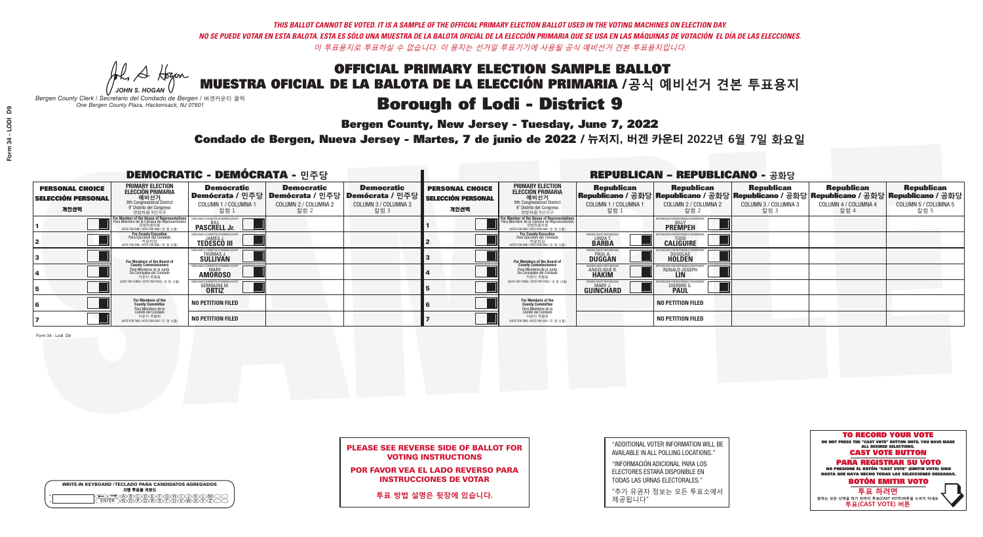He A Hogen

**Bergen County, New Jersey - Tuesday, June 7, 2022** 

Condado de Bergen, Nueva Jersey - Martes, 7 de junio de 2022 / 뉴저지, 버겐 카운티 2022년 6월 7일 화요일

| <b>WRITE-IN KEYBOARD /TECLADO PARA CANDIDATOS AGREGADOS</b><br>기명 투표용 키보드 |  |
|---------------------------------------------------------------------------|--|
| DA BOO BEEO BOO KO<br>DINO PORSTUUVWAY<br><b>FNTFR</b>                    |  |

*JOHN S. HOGAN Bergen County Clerk / Secretario del Condado de Bergen /* 버겐카운티 클럭 *One Bergen County Plaza, Hackensack, NJ 07601*



### PLEASE SEE REVERSE SIDE OF BALLOT FOR VOTING INSTRUCTIONS

POR FAVOR VEA EL LADO REVERSO PARA INSTRUCCIONES DE VOTAR

**투표 방법 설명은 뒷장에 있습니다.**

| "ADDITIONAL VOTER INFORMATION WILL BE |
|---------------------------------------|
| AVAILABLE IN ALL POLLING LOCATIONS."  |
|                                       |

"INFORMACIÓN ADICIONAL PARA LOS ELECTORES ESTARÁ DISPONIBLE EN TODAS LAS URNAS ELECTORALES."

"추가 유권자 정보는 모든 투표소에서 제공됩니다"

| C          |  |
|------------|--|
|            |  |
| REMAARATIA |  |

|                                                             |                                                                                                                                               | <b>DEMOCRATIC - DEMÓCRATA - 민주당</b>                         |                                                   |                                                                                                       |                                                             |                                                                                                                                                             |                                                                       | <b>REPUBLICAN - REPUBLICANO - 공화당</b>                                                                                                             |                                                   |                                                   |                                                   |
|-------------------------------------------------------------|-----------------------------------------------------------------------------------------------------------------------------------------------|-------------------------------------------------------------|---------------------------------------------------|-------------------------------------------------------------------------------------------------------|-------------------------------------------------------------|-------------------------------------------------------------------------------------------------------------------------------------------------------------|-----------------------------------------------------------------------|---------------------------------------------------------------------------------------------------------------------------------------------------|---------------------------------------------------|---------------------------------------------------|---------------------------------------------------|
| <b>PERSONAL CHOICE</b><br><b>SELECCIÓN PERSONAL</b><br>개인선택 | PRIMARY ELECTION<br>ELECCIÓN PRIMARIA<br>에비선거<br><sup>9th</sup> Congressional District<br><sup>9'</sup> Distrito del Congreso<br>연방하원 9선거구    | <b>Democratic</b><br>COLUMN 1 / COLUMNA 1<br>칼럼 1           | <b>Democratic</b><br>COLUMN 2 / COLUMNA 2<br>칼럼 2 | <b>Democratic</b><br>│Demócrata / 민주당│Demócrata / 민주당│Demócrata / 민주당<br>COLUMN 3 / COLUMNA 3<br>칼럼 3 | <b>PERSONAL CHOICE</b><br><b>SELECCIÓN PERSONAL</b><br>개인선택 | <b>PRIMARY ELECTION</b><br>ELECCIÓN PRIMARIA<br>애비선거<br><sup>9th</sup> Congressional District<br>º Distrito del Congreso<br>연방하원 9선거구                       | <b>Republican</b><br>COLUMN 1 / COLUMNA 1<br>, 칼럼 :                   | <b>Republican</b><br>│Republicano / 공화당│Republicano / 공화당│Republicano / 공화당│Republicano / 공화당│Republicano / 공화당│<br>COLUMN 2 / COLUMNA 2<br>-칼럼 2 | <b>Republican</b><br>COLUMN 3 / COLUMNA 3<br>칼럼 3 | <b>Republican</b><br>COLUMN 4 / COLUMNA 4<br>칼럼 4 | <b>Republican</b><br>COLUMN 5 / COLUMNA 5<br>칼럼 5 |
|                                                             | For Member of the House of Representatives<br>Para Miembro de la Cámara de Representantes<br>연방하원의원<br>(VOTE FOR ONE / VOTE POR UNO / 한 명 선출) | <b>PASCRELL Jr.</b>                                         |                                                   |                                                                                                       |                                                             | F <mark>or Member of the House of Representatives</mark><br>Para Miembro de la Cámara de Representantes<br>연방하원의원<br>(VOTE FOR ONE / VOTE POR UNO / 한 명 선출) |                                                                       | <b>PREMPEH</b>                                                                                                                                    |                                                   |                                                   |                                                   |
|                                                             | For County Executive<br>Para Ejecutivo del Condado<br>/OTE FOR ONE / VOTE POR UNO / 한 명 선출)                                                   | <b>TEDESCO III</b>                                          |                                                   |                                                                                                       |                                                             | <b>For County Executive</b><br>Para Ejecutivo del Condado<br>7 카운티장<br>(VOTE FOR ONE / VOTE POR UNO / 한 명 선출)                                               | BERGEN COUNTY REPUBLICA<br>LINDAT.                                    | <b>CALIGUIRE</b>                                                                                                                                  |                                                   |                                                   |                                                   |
|                                                             | For Members of the Board of<br>County Commissioners                                                                                           | EMOCRATIC COMMITTEE OF BERGEN LINE<br>THOMAS J.<br>SULLIVAN |                                                   |                                                                                                       |                                                             | <b>For Members of the Board of County Commissioners</b>                                                                                                     | <b>BERGEN COUNTY REPUBLICAN<br/>PAUL A.<br/>DUGGAN</b>                | <b>DOUGLAS</b>                                                                                                                                    |                                                   |                                                   |                                                   |
|                                                             | Para Miembros de la Junta<br>De Concejales del Condado<br>카운티 위원들                                                                             | ATIC COMMITTEE OF BERGEN CO<br><b>AMOROSO</b>               |                                                   |                                                                                                       |                                                             | Para Miembros de la Junta<br>De Concejales del Condado<br>카운티 위원들                                                                                           | <b>'ERGEN COUNTY REPUBLICAN</b><br><b>ANGELIQUE F</b><br><b>HAKIM</b> | RONALD JOSEPH                                                                                                                                     |                                                   |                                                   |                                                   |
|                                                             | (VOTE FOR THREE / VOTE POR TRES / 세 명 선출)                                                                                                     | <b>GERMAINE M.</b><br><b>ORTIZ</b>                          |                                                   |                                                                                                       |                                                             | (VOTE FOR THREE / VOTE POR TRES / 세 명 선출)                                                                                                                   | ERGEN COUNTY REPUBLICAN<br>MARY J<br><b>GUINCHARD</b>                 | <b>DIERDRE G</b><br><b>PAUL</b>                                                                                                                   |                                                   |                                                   |                                                   |
|                                                             | For Members of the<br>County Committee<br>Para Miembros de la<br>Comité del Condado                                                           | <b>NO PETITION FILED</b>                                    |                                                   |                                                                                                       |                                                             | For Members of the<br>County Committee                                                                                                                      |                                                                       | <b>NO PETITION FILED</b>                                                                                                                          |                                                   |                                                   |                                                   |
|                                                             | 카운티 위원회<br>NOTE FOR TWO / VOTE POR DOS / 두 명 선출)                                                                                              | <b>NO PETITION FILED</b>                                    |                                                   |                                                                                                       |                                                             | Para Miembros de la<br>Comité del Condado<br>카운티 위원회<br>(VOTE FOR TWO / VOTE POR DOS / 두 명 선출)                                                              |                                                                       | <b>NO PETITION FILED</b>                                                                                                                          |                                                   |                                                   |                                                   |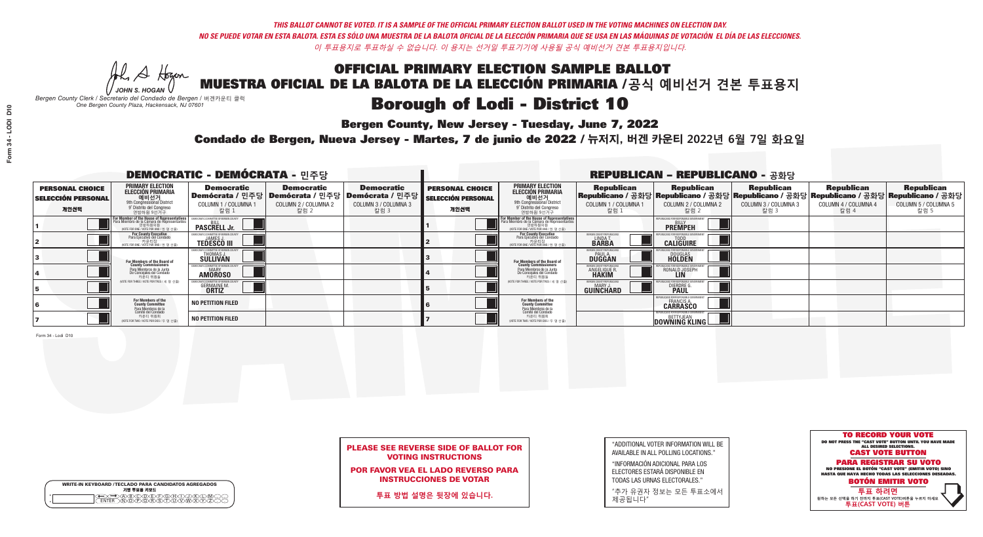**Bergen County, New Jersey - Tuesday, June 7, 2022** 

He A Hogen *JOHN S. HOGAN*

*Bergen County Clerk / Secretario del Condado de Bergen /* 버겐카운티 클럭 *One Bergen County Plaza, Hackensack, NJ 07601*

Condado de Bergen, Nueva Jersey - Martes, 7 de junio de 2022 / 뉴저지, 버겐 카운티 2022년 6월 7일 화요일 *One Bergen County Plaza, Hackensack, NJ 07601*



### PLEASE SEE REVERSE SIDE OF BALLOT FOR VOTING INSTRUCTIONS

POR FAVOR VEA EL LADO REVERSO PARA INSTRUCCIONES DE VOTAR

**투표 방법 설명은 뒷장에 있습니다.**

WRITE-IN KEYBOARD /TECLADO PARA CANDIDATOS AGREGADOS<br>기명 투표용 키보드

 $\bigoplus \bigoplus \mathbb{A} \oplus \mathbb{C} \oplus \mathbb{C} \oplus \mathbb{C} \oplus \mathbb{C} \oplus \mathbb{C} \cup \mathbb{W} \oplus \mathbb{Z} \oplus \mathbb{Z} \oplus \mathbb{C}$ 

| "ADDITIONAL VOTER INFORMATION WILL BE |
|---------------------------------------|
| AVAILABLE IN ALL POLLING LOCATIONS."  |

"INFORMACIÓN ADICIONAL PARA LOS ELECTORES ESTARÁ DISPONIBLE EN TODAS LAS URNAS ELECTORALES."

"추가 유권자 정보는 모든 투표소에서 제공됩니다"

| <b>DEMOCRATIC - DEMÓCRATA - 민주당</b>                         |                                                                                                                                                         |                                                                                                               |                                                   |                                                   |                                                             |                                                                                                                                                       |                                                               | <b>REPUBLICAN - REPUBLICANO - 공화당</b>                                                                                                           |                                                   |                                                   |                                                   |
|-------------------------------------------------------------|---------------------------------------------------------------------------------------------------------------------------------------------------------|---------------------------------------------------------------------------------------------------------------|---------------------------------------------------|---------------------------------------------------|-------------------------------------------------------------|-------------------------------------------------------------------------------------------------------------------------------------------------------|---------------------------------------------------------------|-------------------------------------------------------------------------------------------------------------------------------------------------|---------------------------------------------------|---------------------------------------------------|---------------------------------------------------|
| <b>PERSONAL CHOICE</b><br><b>SELECCIÓN PERSONAL</b><br>개인선택 | <b>PRIMARY ELECTION</b><br><b>ELECCIÓN PRIMARIA</b><br>애비선거<br><sup>9th</sup> Congressional District<br><sup>9</sup> Distrito del Congreso<br>연방하원 9선거구 | <b>Democratic</b><br>│Demócrata / 민주당│Demócrata / 민주당│Demócrata / 민주당┃<br>COLUMN 1 / COLUMNA 1<br><u>칼럼 1</u> | <b>Democratic</b><br>COLUMN 2 / COLUMNA 2<br>칼럼 2 | <b>Democratic</b><br>COLUMN 3 / COLUMNA 3<br>칼럼 3 | <b>PERSONAL CHOICE</b><br><b>SELECCIÓN PERSONAL</b><br>개인선택 | <b>PRIMARY ELECTION</b><br>ELECCIÓN PRIMARIA<br>예비선거<br>9th Congressional District<br>9° Distrito del Congreso<br>연방하원 9선거구                           | <b>Republican</b><br>COLUMN 1 / COLUMNA 1<br>_칼럼 1            | <b>Republican</b><br>Republicano / 공화당 Republicano / 공화당 Republicano / 공화당 Republicano / 공화당 Republicano / 공화당<br>COLUMN 2 / COLUMNA 2<br>-칼럼 2 | <b>Republican</b><br>COLUMN 3 / COLUMNA 3<br>칼럼 3 | <b>Republican</b><br>COLUMN 4 / COLUMNA 4<br>칼럼 4 | <b>Republican</b><br>COLUMN 5 / COLUMNA 5<br>칼럼 5 |
|                                                             | or Member of the House of Representatives<br>ara Miembro de la Cámara de Representantes<br>연방하원의원<br>(VOTE FOR ONE / VOTE POR UNO / 한 명 선출)             | <b>PASCRELL Jr.</b>                                                                                           |                                                   |                                                   |                                                             | <b>For Member of the House of Representatives<br/>Para Miembro de la Cámara de Representantes</b><br>연방하원의원<br>(VOTE FOR ONE / VOTE POR UNO / 한 명 선출) |                                                               | <b>PREMPEH</b>                                                                                                                                  |                                                   |                                                   |                                                   |
|                                                             | For County Executive<br>Para Ejecutivo del Condado<br>(VOTE FOR ONE / VOTE POR UNO / 한 명 선출)                                                            | <b>TEDESCO III</b>                                                                                            |                                                   |                                                   |                                                             | For County Executive<br>Para Ejecutivo del Condado<br>"가운티장<br>WOTE FOR ONE /VOTE POR UNO / 한 명 선춘                                                    | BERGEN COUNTY REPUBLICA<br>LINDA T.                           | <b>CALIGUIRE</b>                                                                                                                                |                                                   |                                                   |                                                   |
|                                                             | For Members of the Board of<br>County Commissioners                                                                                                     | EMOCRATIC COMMITTEE OF BERGEN COUNT<br>THOMAS J.<br>SULLIVAN                                                  |                                                   |                                                   |                                                             | For Members of the Board of<br>County Commissioners                                                                                                   | BERGEN COUNTY REPUBLICAN<br><b>DUGGAN</b>                     | <b>DOUGLAS</b><br><b>HOLDEN</b>                                                                                                                 |                                                   |                                                   |                                                   |
|                                                             | Para Miembros de la Junta<br>De Concejales del Condado<br>카운티 위원들                                                                                       | MOCRATIC COMMITTEE OF BEBGEN COUL<br><b>AMOROSO</b>                                                           |                                                   |                                                   |                                                             | Para Miembros de la Junta<br>De Concejales del Condado<br>카운티 위원들                                                                                     | <b><i>RERGEN COUNTY REPUBLICANS</i></b><br><b>ANGELIQUE R</b> | RONALD JOSEPH<br><b>LIN</b>                                                                                                                     |                                                   |                                                   |                                                   |
|                                                             | NOTE FOR THREE / VOTE POR TRES / 세 명 선출                                                                                                                 | <b>GERMAINE M.</b>                                                                                            |                                                   |                                                   |                                                             | NOTE FOR THREE / VOTE POR TRES / 세 명 선출)                                                                                                              | BERGEN COUNTY REPUBLICANS<br>MARY J<br>GUINCHARD              | <b>DIERDRE</b>                                                                                                                                  |                                                   |                                                   |                                                   |
|                                                             | For Members of the<br>County Committee<br>Para Miembros de la<br>Comité del Condado                                                                     | <b>NO PETITION FILED</b>                                                                                      |                                                   |                                                   |                                                             | For Members of the<br>County Committee                                                                                                                |                                                               | 31 ICANS FOR RESPONSIBI E GOVI<br><b>CARRASCO</b>                                                                                               |                                                   |                                                   |                                                   |
|                                                             | 카운티 위원회<br>NOTE FOR TWO / VOTE POR DOS / 두 명 선출)                                                                                                        | <b>NO PETITION FILED</b>                                                                                      |                                                   |                                                   |                                                             | Para Miembros de la<br>Comité del Condado<br>카운티 위원회<br>NOTE FOR TWO / VOTE POR DOS / 두 명 선출)                                                         |                                                               | <b>DOWNING KLING</b>                                                                                                                            |                                                   |                                                   |                                                   |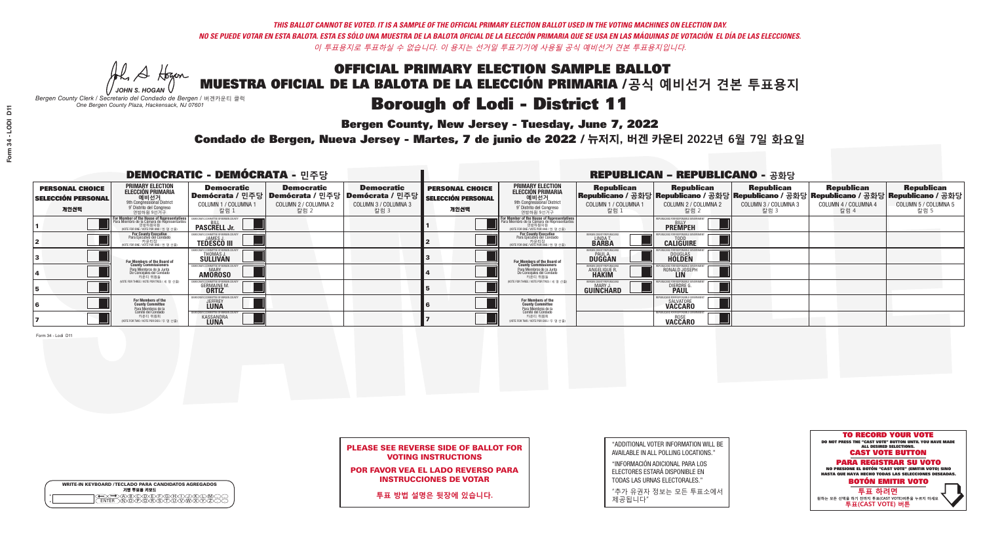**Bergen County, New Jersey - Tuesday, June 7, 2022** 

He A Hogan *JOHN S. HOGAN*

|         | <b>WRITE-IN KEYBOARD /TECLADO PARA CANDIDATOS AGREGADOS</b><br>기명 투표용 키보드 |
|---------|---------------------------------------------------------------------------|
| $\circ$ |                                                                           |

*Bergen County Clerk / Secretario del Condado de Bergen /* 버겐카운티 클럭 *One Bergen County Plaza, Hackensack, NJ 07601*



### PLEASE SEE REVERSE SIDE OF BALLOT FOR VOTING INSTRUCTIONS

POR FAVOR VEA EL LADO REVERSO PARA INSTRUCCIONES DE VOTAR

**투표 방법 설명은 뒷장에 있습니다.**

"ADDITIONAL VOTER INFORMATION WILL BE AVAILABLE IN ALL POLLING LOCATIONS."

"INFORMACIÓN ADICIONAL PARA LOS ELECTORES ESTARÁ DISPONIBLE EN TODAS LAS URNAS ELECTORALES."

"추가 유권자 정보는 모든 투표소에서 제공됩니다"

Condado de Bergen, Nueva Jersey - Martes, 7 de junio de 2022 / 뉴저지, 버겐 카운티 2022년 6월 7일 화요일 *One Bergen County Plaza, Hackensack, NJ 07601*

|                                                             |                                                                                                                                                          | <b>DEMOCRATIC - DEMÓCRATA - 민주당</b>                        |                                                   |                                                                                                      | <b>REPUBLICAN - REPUBLICANO - 공화당</b>                       |                                                                                                                                                             |                                                        |                                                                                                                                                   |                                                   |                                                   |                                                   |
|-------------------------------------------------------------|----------------------------------------------------------------------------------------------------------------------------------------------------------|------------------------------------------------------------|---------------------------------------------------|------------------------------------------------------------------------------------------------------|-------------------------------------------------------------|-------------------------------------------------------------------------------------------------------------------------------------------------------------|--------------------------------------------------------|---------------------------------------------------------------------------------------------------------------------------------------------------|---------------------------------------------------|---------------------------------------------------|---------------------------------------------------|
| <b>PERSONAL CHOICE</b><br><b>SELECCIÓN PERSONAL</b><br>개인선택 | <b>PRIMARY ELECTION</b><br><b>ELECCIÓN PRIMARIA</b><br>애비선거<br><sup>9th</sup> Congressional District<br><sup>9°</sup> Distrito del Congreso<br>연방하원 9선거구 | <b>Democratic</b><br><b>COLUMN 1 / COLUMNA 1</b><br>칼럼 1   | <b>Democratic</b><br>COLUMN 2 / COLUMNA 2<br>칼럼 2 | <b>Democratic</b><br>Demócrata / 민주당 Demócrata / 민주당 Demócrata / 민주당<br>COLUMN 3 / COLUMNA 3<br>칼럼 3 | <b>PERSONAL CHOICE</b><br><b>SELECCIÓN PERSONAL</b><br>개인선택 | <b>PRIMARY ELECTION</b><br>ELECCIÓN PRIMARIA<br>애비선거<br><sup>9th</sup> Congressional District<br>º Distrito del Congreso<br>연방하원 9선거구                       | <b>Republican</b><br>COLUMN 1 / COLUMNA 1<br>칼럼        | <b>Republican</b><br> Republicano / 공화당 Republicano / 공화당 Republicano / 공화당 Republicano / 공화당 Republicano / 공화당 <br>COLUMN 2 / COLUMNA 2<br>-칼럼 2 | <b>Republican</b><br>COLUMN 3 / COLUMNA 3<br>칼럼 3 | <b>Republican</b><br>COLUMN 4 / COLUMNA 4<br>칼럼 4 | <b>Republican</b><br>COLUMN 5 / COLUMNA 5<br>칼럼 5 |
|                                                             | For Member of the House of Representatives<br>Para Miembro de la Cámara de Representantes                                                                | <b>PASCRELL Jr.</b>                                        |                                                   |                                                                                                      |                                                             | F <mark>or Member of the House of Representatives</mark><br>Para Miembro de la Cámara de Representantes<br>연방하원의원<br>(VOTE FOR ONE / VOTE POR UNO / 한 명 선출) |                                                        | <b>PREMPEH</b>                                                                                                                                    |                                                   |                                                   |                                                   |
|                                                             | For County Executive<br>Para Ejecutivo del Condado<br>VOTE FOR ONE / VOTE POR UNO / 한 명 선출)                                                              | <b>TEDESCO III</b>                                         |                                                   |                                                                                                      |                                                             | For County Executive<br>Para Ejecutivo del Condado<br>7 카운티장<br>(VOTE FOR ONE / VOTE POR UNO / 한 명 선출)                                                      | BERGEN COUNTY REPUBLICA<br>LINDAT.                     | <b>CALIGUIRE</b>                                                                                                                                  |                                                   |                                                   |                                                   |
|                                                             | For Members of the Board of<br>County Commissioners                                                                                                      | EMOCRATIC COMMITTEE OF BERGEN C<br>THOMAS J.<br>SULLIVAN   |                                                   |                                                                                                      |                                                             | For Members of the Board of<br>County Commissioners                                                                                                         | BERGEN COUNTY REPUBLICAN<br><b>DUGGAN</b>              | <b>DOUGLAS</b><br><b>HOLDEN</b>                                                                                                                   |                                                   |                                                   |                                                   |
|                                                             | Para Miembros de la Junta<br>De Concejales del Condado<br>카우티 위원들                                                                                        | <b>MOCRATIC COMMITTEE OF BERGEN COUN</b><br><b>AMOROSO</b> |                                                   |                                                                                                      |                                                             | Para Miembros de la Junta<br>De Concejales del Condado<br>카운티 위원들                                                                                           | ERGEN COUNTY REPUBLICAN<br>ANGELIQUE R                 | RONALD JOSEPH<br><b>LIN</b>                                                                                                                       |                                                   |                                                   |                                                   |
|                                                             | (VOTE FOR THREE / VOTE POR TRES / 세 명 선출)                                                                                                                | <b>GERMAINE M.</b>                                         |                                                   |                                                                                                      |                                                             | (VOTE FOR THREE / VOTE POR TRES / 세 명 선출)                                                                                                                   | FRGEN COUNTY REPUBLICAN<br>MARY J.<br><b>GUINCHARD</b> | <b>DIERDRE</b>                                                                                                                                    |                                                   |                                                   |                                                   |
|                                                             | For Members of the<br>County Committee<br>Para Miembros de la<br>Comité del Condado                                                                      | MOCRATIC COMMITTEE OF BERGEN C<br><b>JEFFREY</b>           |                                                   |                                                                                                      |                                                             | For Members of the<br>County Committee                                                                                                                      |                                                        | BI ICANS FOR RESPONSIBI E GO<br>SALVATORE<br><b>VACCARO</b>                                                                                       |                                                   |                                                   |                                                   |
|                                                             | 카운티 위원회<br>NOTE FOR TWO / VOTE POR DOS / 두 명 선출)                                                                                                         | (IC COMMITTEE OF BERGEN<br><b>KASSANDRA</b>                |                                                   |                                                                                                      |                                                             | Para Miembros de la<br>Comité del Condado<br>카운티 위원회<br>NOTE FOR TWO / VOTE POR DOS / 두 명 선출)                                                               |                                                        | <b>FPUBLICANS FOR RESPONSIBLE GO</b><br><b>VACCARO</b>                                                                                            |                                                   |                                                   |                                                   |